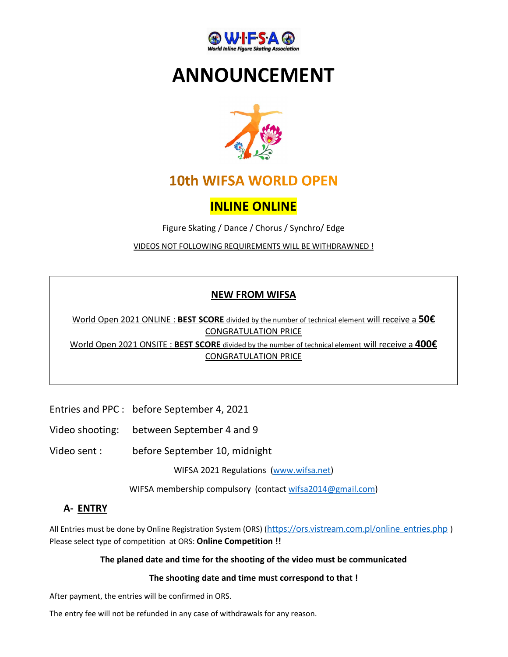

# ANNOUNCEMENT



# **10th WIFSA WORLD OPEN**

## INLINE ONLINE

Figure Skating / Dance / Chorus / Synchro/ Edge

VIDEOS NOT FOLLOWING REQUIREMENTS WILL BE WITHDRAWNED !

### NEW FROM WIFSA

World Open 2021 ONLINE : BEST SCORE divided by the number of technical element will receive a 50€ CONGRATULATION PRICE

World Open 2021 ONSITE : BEST SCORE divided by the number of technical element will receive a 400€ CONGRATULATION PRICE

Entries and PPC : before September 4, 2021

Video shooting: between September 4 and 9

Video sent : before September 10, midnight<br>WIFSA 2021 Regulations (www.wifsa.net)

WIFSA membership compulsory (contact wifsa2014@gmail.com)

### A- ENTRY

All Entries must be done by Online Registration System (ORS) (https://ors.vistream.com.pl/online\_entries.php) Please select type of competition at ORS: Online Competition !!

#### The planed date and time for the shooting of the video must be communicated

#### The shooting date and time must correspond to that !

After payment, the entries will be confirmed in ORS.

The entry fee will not be refunded in any case of withdrawals for any reason.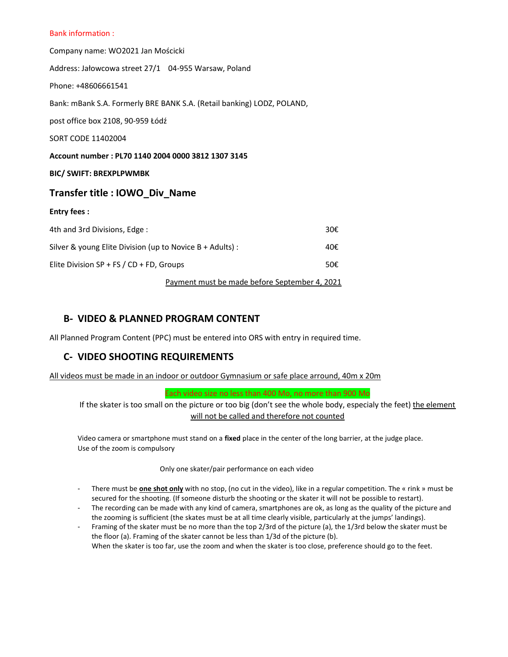#### Bank information :

Company name: WO2021 Jan Mościcki Address: Jałowcowa street 27/1 04-955 Warsaw, Poland Phone: +48606661541 Bank: mBank S.A. Formerly BRE BANK S.A. (Retail banking) LODZ, POLAND, post office box 2108, 90-959 Łódź SORT CODE 11402004 Account number : PL70 1140 2004 0000 3812 1307 3145 BIC/ SWIFT: BREXPLPWMBK Transfer title : IOWO\_Div\_Name Entry fees : 4th and 3rd Divisions, Edge : 30€ Silver & young Elite Division (up to Novice B + Adults) :  $40 \epsilon$ Elite Division SP + FS / CD + FD, Groups  $50 \epsilon$ 

Payment must be made before September 4, 2021

#### B- VIDEO & PLANNED PROGRAM CONTENT

All Planned Program Content (PPC) must be entered into ORS with entry in required time.

#### C- VIDEO SHOOTING REQUIREMENTS

All videos must be made in an indoor or outdoor Gymnasium or safe place arround, 40m x 20m

Each video size no less than 400 Mo, no more than 900 Mo

If the skater is too small on the picture or too big (don't see the whole body, especialy the feet) the element will not be called and therefore not counted

Video camera or smartphone must stand on a fixed place in the center of the long barrier, at the judge place. Use of the zoom is compulsory

Only one skater/pair performance on each video

- There must be **one shot only** with no stop, (no cut in the video), like in a regular competition. The « rink » must be secured for the shooting. (If someone disturb the shooting or the skater it will not be possible to restart).
- The recording can be made with any kind of camera, smartphones are ok, as long as the quality of the picture and the zooming is sufficient (the skates must be at all time clearly visible, particularly at the jumps' landings).
- Framing of the skater must be no more than the top 2/3rd of the picture (a), the 1/3rd below the skater must be the floor (a). Framing of the skater cannot be less than 1/3d of the picture (b). When the skater is too far, use the zoom and when the skater is too close, preference should go to the feet.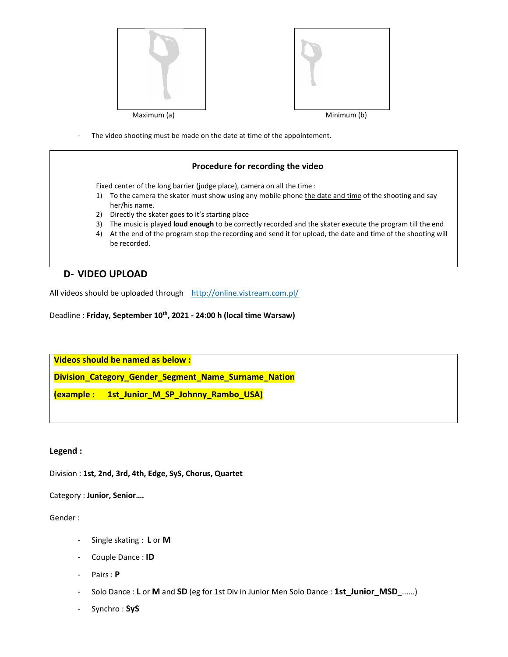

The video shooting must be made on the date at time of the appointement.

#### Procedure for recording the video

Fixed center of the long barrier (judge place), camera on all the time :

- 1) To the camera the skater must show using any mobile phone the date and time of the shooting and say her/his name.
- 2) Directly the skater goes to it's starting place
- 3) The music is played loud enough to be correctly recorded and the skater execute the program till the end
- 4) At the end of the program stop the recording and send it for upload, the date and time of the shooting will be recorded.

#### D- VIDEO UPLOAD

All videos should be uploaded through http://online.vistream.com.pl/<br>Deadline : Friday, September 10<sup>th</sup>, 2021 - 24:00 h (local time Warsaw)

Videos should be named as below :

Division\_Category\_Gender\_Segment\_Name\_Surname\_Nation

(example : 1st\_Junior\_M\_SP\_Johnny\_Rambo\_USA)

#### Legend :

Division : 1st, 2nd, 3rd, 4th, Edge, SyS, Chorus, Quartet

Category : Junior, Senior….

#### Gender :

- Single skating : L or M
- Couple Dance : ID
- Pairs : P
- Solo Dance : L or M and SD (eg for 1st Div in Junior Men Solo Dance : 1st\_Junior\_MSD\_......)
- Synchro : SyS